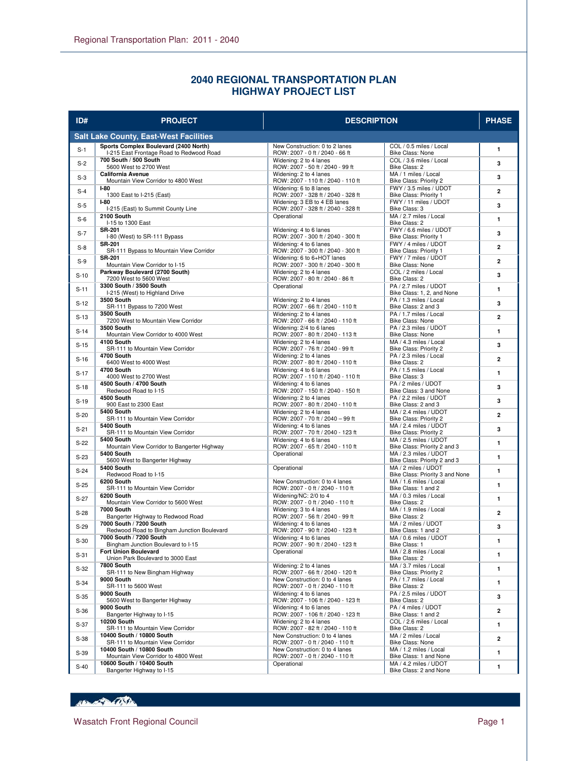## **2040 REGIONAL TRANSPORTATION PLAN HIGHWAY PROJECT LIST**

| ID#    | <b>PROJECT</b>                                                                    | <b>DESCRIPTION</b>                                                 |                                                       | <b>PHASE</b>   |
|--------|-----------------------------------------------------------------------------------|--------------------------------------------------------------------|-------------------------------------------------------|----------------|
|        | <b>Salt Lake County, East-West Facilities</b>                                     |                                                                    |                                                       |                |
| $S-1$  | Sports Complex Boulevard (2400 North)<br>I-215 East Frontage Road to Redwood Road | New Construction: 0 to 2 lanes<br>ROW: 2007 - 0 ft / 2040 - 66 ft  | COL / 0.5 miles / Local<br>Bike Class: None           | $\mathbf{1}$   |
| $S-2$  | 700 South / 500 South<br>5600 West to 2700 West                                   | Widening: 2 to 4 lanes<br>ROW: 2007 - 50 ft / 2040 - 99 ft         | COL / 3.6 miles / Local<br>Bike Class: 2              | 3              |
| $S-3$  | <b>California Avenue</b><br>Mountain View Corridor to 4800 West                   | Widening: 2 to 4 lanes<br>ROW: 2007 - 110 ft / 2040 - 110 ft       | MA / 1 miles / Local<br>Bike Class: Priority 2        | 3              |
| $S-4$  | $I-80$<br>1300 East to I-215 (East)                                               | Widening: 6 to 8 lanes<br>ROW: 2007 - 328 ft / 2040 - 328 ft       | FWY / 3.5 miles / UDOT<br>Bike Class: Priority 1      | $\overline{2}$ |
| $S-5$  | $I-80$<br>I-215 (East) to Summit County Line                                      | Widening: 3 EB to 4 EB lanes<br>ROW: 2007 - 328 ft / 2040 - 328 ft | FWY / 11 miles / UDOT<br>Bike Class: 3                | 3              |
| $S-6$  | 2100 South<br>I-15 to 1300 East                                                   | Operational                                                        | MA / 2.7 miles / Local<br>Bike Class: 2               | 1              |
| $S-7$  | <b>SR-201</b><br>I-80 (West) to SR-111 Bypass                                     | Widening: 4 to 6 lanes<br>ROW: 2007 - 300 ft / 2040 - 300 ft       | FWY / 6.6 miles / UDOT<br>Bike Class: Priority 1      | 3              |
| $S-8$  | <b>SR-201</b><br>SR-111 Bypass to Mountain View Corridor                          | Widening: 4 to 6 lanes<br>ROW: 2007 - 300 ft / 2040 - 300 ft       | FWY / 4 miles / UDOT<br>Bike Class: Priority 1        | $\mathbf{2}$   |
| $S-9$  | <b>SR-201</b><br>Mountain View Corridor to I-15                                   | Widening: 6 to 6+HOT lanes<br>ROW: 2007 - 300 ft / 2040 - 300 ft   | FWY / 7 miles / UDOT<br>Bike Class: None              | $\overline{a}$ |
| $S-10$ | Parkway Boulevard (2700 South)<br>7200 West to 5600 West                          | Widening: 2 to 4 lanes<br>ROW: 2007 - 80 ft / 2040 - 86 ft         | COL / 2 miles / Local<br>Bike Class: 2                | 3              |
| $S-11$ | 3300 South / 3500 South<br>I-215 (West) to Highland Drive                         | Operational                                                        | PA / 2.7 miles / UDOT<br>Bike Class: 1, 2, and None   | 1              |
| $S-12$ | <b>3500 South</b><br>SR-111 Bypass to 7200 West                                   | Widening: 2 to 4 lanes<br>ROW: 2007 - 66 ft / 2040 - 110 ft        | PA / 1.3 miles / Local<br>Bike Class: 2 and 3         | 3              |
| $S-13$ | <b>3500 South</b>                                                                 | Widening: 2 to 4 lanes                                             | PA / 1.7 miles / Local                                | $\overline{2}$ |
| $S-14$ | 7200 West to Mountain View Corridor<br><b>3500 South</b>                          | ROW: 2007 - 66 ft / 2040 - 110 ft<br>Widening: 2/4 to 6 lanes      | Bike Class: None<br>PA / 2.3 miles / UDOT             | $\mathbf{1}$   |
| $S-15$ | Mountain View Corridor to 4000 West<br>4100 South                                 | ROW: 2007 - 80 ft / 2040 - 113 ft<br>Widening: 2 to 4 lanes        | <b>Bike Class: None</b><br>MA / 4.3 miles / Local     | 3              |
| $S-16$ | SR-111 to Mountain View Corridor<br>4700 South                                    | ROW: 2007 - 76 ft / 2040 - 99 ft<br>Widening: 2 to 4 lanes         | Bike Class: Priority 2<br>PA / 2.3 miles / Local      | $\overline{a}$ |
| $S-17$ | 6400 West to 4000 West<br>4700 South                                              | ROW: 2007 - 80 ft / 2040 - 110 ft<br>Widening: 4 to 6 lanes        | Bike Class: 2<br>PA / 1.5 miles / Local               | $\mathbf{1}$   |
| $S-18$ | 4000 West to 2700 West<br>4500 South / 4700 South                                 | ROW: 2007 - 110 ft / 2040 - 110 ft<br>Widening: 4 to 6 lanes       | Bike Class: 3<br>PA / 2 miles / UDOT                  | 3              |
| $S-19$ | Redwood Road to I-15<br>4500 South                                                | ROW: 2007 - 150 ft / 2040 - 150 ft<br>Widening: 2 to 4 lanes       | Bike Class: 3 and None<br>PA / 2.2 miles / UDOT       | 3              |
|        | 900 East to 2300 East<br>5400 South                                               | ROW: 2007 - 80 ft / 2040 - 110 ft<br>Widening: 2 to 4 lanes        | Bike Class: 2 and 3<br>MA / 2.4 miles / UDOT          |                |
| $S-20$ | SR-111 to Mountain View Corridor<br>5400 South                                    | ROW: 2007 - 70 ft / 2040 - 99 ft<br>Widening: 4 to 6 lanes         | Bike Class: Priority 2<br>MA / 2.4 miles / UDOT       | $\overline{2}$ |
| $S-21$ | SR-111 to Mountain View Corridor<br>5400 South                                    | ROW: 2007 - 70 ft / 2040 - 123 ft<br>Widening: 4 to 6 lanes        | Bike Class: Priority 2<br>MA / 2.5 miles / UDOT       | 3              |
| $S-22$ | Mountain View Corridor to Bangerter Highway<br>5400 South                         | ROW: 2007 - 65 ft / 2040 - 110 ft<br>Operational                   | Bike Class: Priority 2 and 3<br>MA / 2.3 miles / UDOT | 1              |
| $S-23$ | 5600 West to Bangerter Highway<br>5400 South                                      | Operational                                                        | Bike Class: Priority 2 and 3<br>MA / 2 miles / UDOT   | $\mathbf{1}$   |
| $S-24$ | Redwood Road to I-15                                                              |                                                                    | Bike Class: Priority 3 and None                       | $\mathbf{1}$   |
| $S-25$ | 6200 South<br>SR-111 to Mountain View Corridor                                    | New Construction: 0 to 4 lanes<br>ROW: 2007 - 0 ft / 2040 - 110 ft | MA / 1.6 miles / Local<br>Bike Class: 1 and 2         | 1              |
| $S-27$ | 6200 South<br>Mountain View Corridor to 5600 West                                 | Widening/NC: 2/0 to 4<br>ROW: 2007 - 0 ft / 2040 - 110 ft          | MA / 0.3 miles / Local<br>Bike Class: 2               | $\mathbf{1}$   |
| $S-28$ | 7000 South<br>Bangerter Highway to Redwood Road                                   | Widening: 3 to 4 lanes<br>ROW: 2007 - 56 ft / 2040 - 99 ft         | MA / 1.9 miles / Local<br>Bike Class: 2               | 2              |
| $S-29$ | 7000 South / 7200 South<br>Redwood Road to Bingham Junction Boulevard             | Widening: 4 to 6 lanes<br>ROW: 2007 - 90 ft / 2040 - 123 ft        | MA / 2 miles / UDOT<br>Bike Class: 1 and 2            | 3              |
| $S-30$ | 7000 South / 7200 South<br>Bingham Junction Boulevard to I-15                     | Widening: 4 to 6 lanes<br>ROW: 2007 - 90 ft / 2040 - 123 ft        | MA / 0.6 miles / UDOT<br>Bike Class: 1                | 1              |
| $S-31$ | Fort Union Boulevard<br>Union Park Boulevard to 3000 East                         | Operational                                                        | MA / 2.8 miles / Local<br>Bike Class: 2               | 1              |
| $S-32$ | 7800 South<br>SR-111 to New Bingham Highway                                       | Widening: 2 to 4 lanes<br>ROW: 2007 - 66 ft / 2040 - 120 ft        | MA / 3.7 miles / Local<br>Bike Class: Priority 2      | 1              |
| $S-34$ | 9000 South<br>SR-111 to 5600 West                                                 | New Construction: 0 to 4 lanes<br>ROW: 2007 - 0 ft / 2040 - 110 ft | PA / 1.7 miles / Local<br>Bike Class: 2               | 1              |
| $S-35$ | 9000 South<br>5600 West to Bangerter Highway                                      | Widening: 4 to 6 lanes<br>ROW: 2007 - 106 ft / 2040 - 123 ft       | PA / 2.5 miles / UDOT<br>Bike Class: 2                | 3              |
| $S-36$ | 9000 South<br>Bangerter Highway to I-15                                           | Widening: 4 to 6 lanes<br>ROW: 2007 - 106 ft / 2040 - 123 ft       | PA / 4 miles / UDOT<br>Bike Class: 1 and 2            | 2              |
| $S-37$ | <b>10200 South</b><br>SR-111 to Mountain View Corridor                            | Widening: 2 to 4 lanes<br>ROW: 2007 - 82 ft / 2040 - 110 ft        | COL / 2.6 miles / Local<br>Bike Class: 2              | 1              |
| $S-38$ | 10400 South / 10800 South<br>SR-111 to Mountain View Corridor                     | New Construction: 0 to 4 lanes<br>ROW: 2007 - 0 ft / 2040 - 110 ft | MA / 2 miles / Local<br>Bike Class: None              | $\mathbf{2}$   |
| $S-39$ | 10400 South / 10800 South<br>Mountain View Corridor to 4800 West                  | New Construction: 0 to 4 lanes<br>ROW: 2007 - 0 ft / 2040 - 110 ft | MA / 1.2 miles / Local<br>Bike Class: 1 and None      | 1              |
| $S-40$ | 10600 South / 10400 South<br>Bangerter Highway to I-15                            | Operational                                                        | MA / 4.2 miles / UDOT<br>Bike Class: 2 and None       | 1              |

HEL OF BOSTON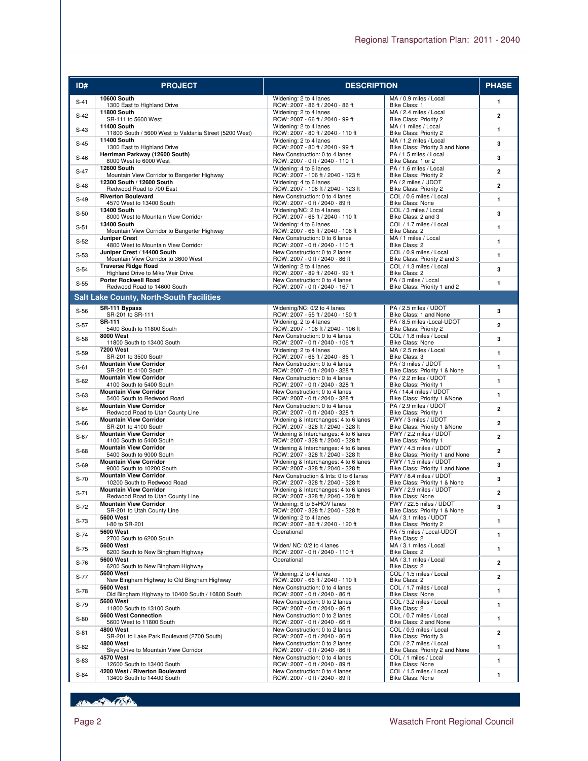| ID#    | <b>PROJECT</b>                                                               | <b>DESCRIPTION</b>                                                          |                                                            | <b>PHASE</b>            |
|--------|------------------------------------------------------------------------------|-----------------------------------------------------------------------------|------------------------------------------------------------|-------------------------|
| $S-41$ | <b>10600 South</b>                                                           | Widening: 2 to 4 lanes                                                      | MA / 0.9 miles / Local                                     | $\mathbf{1}$            |
|        | 1300 East to Highland Drive<br><b>11800 South</b>                            | ROW: 2007 - 86 ft / 2040 - 86 ft<br>Widening: 2 to 4 lanes                  | Bike Class: 1<br>MA / 2.4 miles / Local                    |                         |
| $S-42$ | SR-111 to 5600 West                                                          | ROW: 2007 - 66 ft / 2040 - 99 ft                                            | Bike Class: Priority 2                                     | $\overline{2}$          |
| $S-43$ | <b>11400 South</b><br>11800 South / 5600 West to Valdania Street (5200 West) | Widening: 2 to 4 lanes<br>ROW: 2007 - 80 ft / 2040 - 110 ft                 | MA / 1 miles / Local<br>Bike Class: Priority 2             | $\mathbf{1}$            |
| $S-45$ | <b>11400 South</b><br>1300 East to Highland Drive                            | Widening: 2 to 4 lanes<br>ROW: 2007 - 80 ft / 2040 - 99 ft                  | MA / 1.2 miles / Local<br>Bike Class: Priority 3 and None  | 3                       |
| $S-46$ | Herriman Parkway (12600 South)                                               | New Construction: 0 to 4 lanes                                              | PA / 1.5 miles / Local                                     | 3                       |
|        | 8000 West to 6000 West<br><b>12600 South</b>                                 | ROW: 2007 - 0 ft / 2040 - 110 ft<br>Widening: 4 to 6 lanes                  | Bike Class: 1 or 2<br>PA / 1.6 miles / Local               |                         |
| $S-47$ | Mountain View Corridor to Bangerter Highway                                  | ROW: 2007 - 106 ft / 2040 - 123 ft                                          | Bike Class: Priority 2                                     | $\overline{2}$          |
| $S-48$ | 12300 South / 12600 South<br>Redwood Road to 700 East                        | Widening: 4 to 6 lanes<br>ROW: 2007 - 106 ft / 2040 - 123 ft                | PA / 2 miles / UDOT<br>Bike Class: Priority 2              | $\overline{2}$          |
| $S-49$ | <b>Riverton Boulevard</b>                                                    | New Construction: 0 to 4 lanes                                              | COL / 0.6 miles / Local                                    | $\mathbf{1}$            |
| $S-50$ | 4570 West to 13400 South<br><b>13400 South</b>                               | ROW: 2007 - 0 ft / 2040 - 89 ft<br>Widening/NC: 2 to 4 lanes                | Bike Class: None<br>COL / 3 miles / Local                  | 3                       |
|        | 8000 West to Mountain View Corridor<br><b>13400 South</b>                    | ROW: 2007 - 66 ft / 2040 - 110 ft                                           | Bike Class: 2 and 3<br>COL / 1.7 miles / Local             |                         |
| $S-51$ | Mountain View Corridor to Bangerter Highway                                  | Widening: 4 to 6 lanes<br>ROW: 2007 - 66 ft / 2040 - 106 ft                 | Bike Class: 2                                              | 1                       |
| $S-52$ | <b>Juniper Crest</b><br>4800 West to Mountain View Corridor                  | New Construction: 0 to 6 lanes<br>ROW: 2007 - 0 ft / 2040 - 110 ft          | MA / 1 miles / Local<br>Bike Class: 2                      | $\mathbf{1}$            |
| $S-53$ | Juniper Crest / 14400 South                                                  | New Construction: 0 to 2 lanes                                              | COL / 0.9 miles / Local                                    | $\mathbf{1}$            |
|        | Mountain View Corridor to 3600 West<br><b>Traverse Ridge Road</b>            | ROW: 2007 - 0 ft / 2040 - 86 ft<br>Widening: 2 to 4 lanes                   | Bike Class: Priority 2 and 3<br>COL / 1.3 miles / Local    |                         |
| $S-54$ | Highland Drive to Mike Weir Drive                                            | ROW: 2007 - 89 ft / 2040 - 99 ft                                            | Bike Class: 2                                              | 3                       |
| $S-55$ | <b>Porter Rockwell Road</b><br>Redwood Road to 14600 South                   | New Construction: 0 to 4 lanes<br>ROW: 2007 - 0 ft / 2040 - 167 ft          | PA / 3 miles / Local<br>Bike Class: Priority 1 and 2       | 1                       |
|        | <b>Salt Lake County, North-South Facilities</b>                              |                                                                             |                                                            |                         |
| $S-56$ | SR-111 Bypass                                                                | Widening/NC: 0/2 to 4 lanes                                                 | PA / 2.5 miles / UDOT                                      | 3                       |
|        | SR-201 to SR-111<br><b>SR-111</b>                                            | ROW: 2007 - 55 ft / 2040 - 150 ft<br>Widening: 2 to 4 lanes                 | Bike Class: 1 and None<br>PA / 8.5 miles /Local-UDOT       |                         |
| $S-57$ | 5400 South to 11800 South                                                    | ROW: 2007 - 106 ft / 2040 - 106 ft                                          | Bike Class: Priority 2                                     | $\overline{2}$          |
| $S-58$ | 8000 West<br>11800 South to 13400 South                                      | New Construction: 0 to 4 lanes<br>ROW: 2007 - 0 ft / 2040 - 106 ft          | COL / 1.8 miles / Local<br>Bike Class: None                | 3                       |
| $S-59$ | <b>7200 West</b>                                                             | Widening: 2 to 4 lanes                                                      | MA / 2.5 miles / Local                                     | $\mathbf{1}$            |
|        | SR-201 to 3500 South<br><b>Mountain View Corridor</b>                        | ROW: 2007 - 66 ft / 2040 - 86 ft<br>New Construction: 0 to 4 lanes          | Bike Class: 3<br>PA / 3 miles / UDOT                       |                         |
| $S-61$ | SR-201 to 4100 South<br><b>Mountain View Corridor</b>                        | ROW: 2007 - 0 ft / 2040 - 328 ft                                            | Bike Class: Priority 1 & None<br>PA / 2.2 miles / UDOT     | $\mathbf{1}$            |
| $S-62$ | 4100 South to 5400 South                                                     | New Construction: 0 to 4 lanes<br>ROW: 2007 - 0 ft / 2040 - 328 ft          | Bike Class: Priority 1                                     | $\mathbf{1}$            |
| $S-63$ | <b>Mountain View Corridor</b><br>5400 South to Redwood Road                  | New Construction: 0 to 4 lanes<br>ROW: 2007 - 0 ft / 2040 - 328 ft          | PA / 14.4 miles / UDOT<br>Bike Class: Priority 1 & None    | $\mathbf{1}$            |
| $S-64$ | <b>Mountain View Corridor</b>                                                | New Construction: 0 to 4 lanes                                              | PA / 2.9 miles / UDOT                                      | $\overline{2}$          |
|        | Redwood Road to Utah County Line<br><b>Mountain View Corridor</b>            | ROW: 2007 - 0 ft / 2040 - 328 ft<br>Widening & Interchanges: 4 to 6 lanes   | Bike Class: Priority 1<br>FWY / 3 miles / UDOT             |                         |
| $S-66$ | SR-201 to 4100 South                                                         | ROW: 2007 - 328 ft / 2040 - 328 ft                                          | Bike Class: Priority 1 & None                              | $\overline{2}$          |
| $S-67$ | <b>Mountain View Corridor</b><br>4100 South to 5400 South                    | Widening & Interchanges: 4 to 6 lanes<br>ROW: 2007 - 328 ft / 2040 - 328 ft | FWY / 2.2 miles / UDOT<br>Bike Class: Priority 1           | $\overline{2}$          |
| $S-68$ | <b>Mountain View Corridor</b><br>5400 South to 9000 South                    | Widening & Interchanges: 4 to 6 lanes<br>ROW: 2007 - 328 ft / 2040 - 328 ft | FWY / 4.5 miles / UDOT<br>Bike Class: Priority 1 and None  | $\overline{2}$          |
| $S-69$ | <b>Mountain View Corridor</b>                                                | Widening & Interchanges: 4 to 6 lanes                                       | FWY / 1.5 miles / UDOT                                     | 3                       |
|        | 9000 South to 10200 South<br><b>Mountain View Corridor</b>                   | ROW: 2007 - 328 ft / 2040 - 328 ft<br>New Construction & Ints: 0 to 6 lanes | Bike Class: Priority 1 and None<br>FWY / 8.4 miles / UDOT  |                         |
| $S-70$ | 10200 South to Redwood Road                                                  | ROW: 2007 - 328 ft / 2040 - 328 ft                                          | Bike Class: Priority 1 & None                              | 3                       |
| $S-71$ | <b>Mountain View Corridor</b><br>Redwood Road to Utah County Line            | Widening & Interchanges: 4 to 6 lanes<br>ROW: 2007 - 328 ft / 2040 - 328 ft | FWY / 2.9 miles / UDOT<br>Bike Class: None                 | 2                       |
| $S-72$ | <b>Mountain View Corridor</b>                                                | Widening: 6 to 6+HOV lanes                                                  | FWY / 22.5 miles / UDOT                                    | 3                       |
| $S-73$ | SR-201 to Utah County Line<br><b>5600 West</b>                               | ROW: 2007 - 328 ft / 2040 - 328 ft<br>Widening: 2 to 4 lanes                | Bike Class: Priority 1 & None<br>MA / 3.1 miles / UDOT     | 1                       |
|        | I-80 to SR-201<br><b>5600 West</b>                                           | ROW: 2007 - 86 ft / 2040 - 120 ft<br>Operational                            | Bike Class: Priority 2<br>PA / 5 miles / Local-UDOT        |                         |
| $S-74$ | 2700 South to 6200 South                                                     |                                                                             | Bike Class: 2                                              | $\mathbf{1}$            |
| $S-75$ | <b>5600 West</b><br>6200 South to New Bingham Highway                        | Widen/ NC: 0/2 to 4 lanes<br>ROW: 2007 - 0 ft / 2040 - 110 ft               | MA / 3.1 miles / Local<br>Bike Class: 2                    | 1                       |
| $S-76$ | <b>5600 West</b>                                                             | Operational                                                                 | MA / 3.1 miles / Local                                     | $\overline{\mathbf{2}}$ |
|        | 6200 South to New Bingham Highway<br><b>5600 West</b>                        | Widening: 2 to 4 lanes                                                      | Bike Class: 2<br>COL / 1.5 miles / Local                   |                         |
| $S-77$ | New Bingham Highway to Old Bingham Highway                                   | ROW: 2007 - 66 ft / 2040 - 110 ft                                           | Bike Class: 2                                              | $\overline{2}$          |
| $S-78$ | <b>5600 West</b><br>Old Bingham Highway to 10400 South / 10800 South         | New Construction: 0 to 4 lanes<br>ROW: 2007 - 0 ft / 2040 - 86 ft           | COL / 1.7 miles / Local<br><b>Bike Class: None</b>         | 1                       |
| S-79   | <b>5600 West</b><br>11800 South to 13100 South                               | New Construction: 0 to 2 lanes<br>ROW: 2007 - 0 ft / 2040 - 86 ft           | COL / 3.2 miles / Local<br>Bike Class: 2                   | 1                       |
| $S-80$ | 5600 West Connection                                                         | New Construction: 0 to 2 lanes                                              | COL / 0.7 miles / Local                                    | $\mathbf{1}$            |
|        | 5600 West to 11800 South<br><b>4800 West</b>                                 | ROW: 2007 - 0 ft / 2040 - 66 ft<br>New Construction: 0 to 2 lanes           | Bike Class: 2 and None<br>COL / 0.9 miles / Local          |                         |
| $S-81$ | SR-201 to Lake Park Boulevard (2700 South)                                   | ROW: 2007 - 0 ft / 2040 - 86 ft                                             | Bike Class: Priority 3                                     | $\overline{\mathbf{2}}$ |
| $S-82$ | <b>4800 West</b><br>Skye Drive to Mountain View Corridor                     | New Construction: 0 to 2 lanes<br>ROW: 2007 - 0 ft / 2040 - 86 ft           | COL / 2.7 miles / Local<br>Bike Class: Priority 2 and None | 1                       |
| $S-83$ | 4570 West                                                                    | New Construction: 0 to 4 lanes                                              | COL / 1 miles / Local                                      | 1                       |
|        | 12600 South to 13400 South<br>4200 West / Riverton Boulevard                 | ROW: 2007 - 0 ft / 2040 - 89 ft<br>New Construction: 0 to 4 lanes           | Bike Class: None<br>COL / 1.5 miles / Local                |                         |
| $S-84$ | 13400 South to 14400 South                                                   | ROW: 2007 - 0 ft / 2040 - 89 ft                                             | Bike Class: None                                           | 1                       |

Boundary Com

L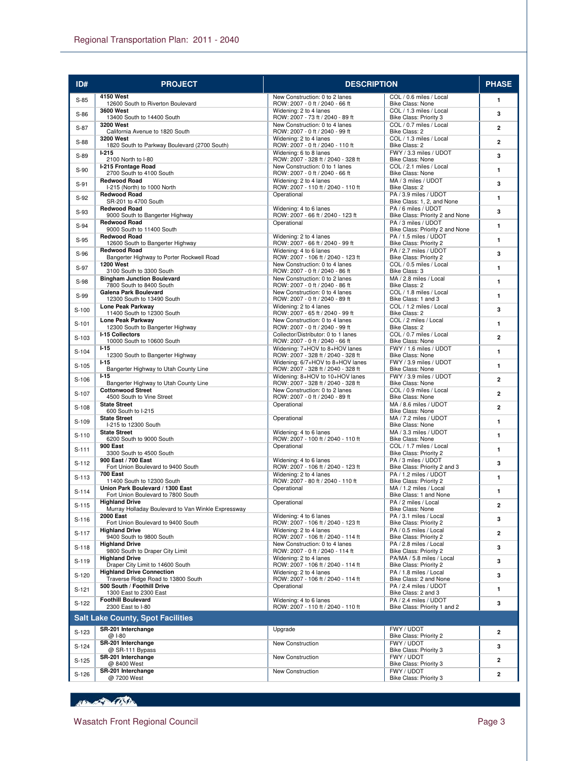| ID#     | <b>PROJECT</b>                                                       | <b>DESCRIPTION</b>                                                     |                                                          | <b>PHASE</b>   |
|---------|----------------------------------------------------------------------|------------------------------------------------------------------------|----------------------------------------------------------|----------------|
| $S-85$  | 4150 West                                                            | New Construction: 0 to 2 lanes                                         | COL / 0.6 miles / Local<br>Bike Class: None              | $\mathbf{1}$   |
| $S-86$  | 12600 South to Riverton Boulevard<br><b>3600 West</b>                | ROW: 2007 - 0 ft / 2040 - 66 ft<br>Widening: 2 to 4 lanes              | COL / 1.3 miles / Local                                  | 3              |
|         | 13400 South to 14400 South<br>3200 West                              | ROW: 2007 - 73 ft / 2040 - 89 ft<br>New Construction: 0 to 4 lanes     | Bike Class: Priority 3<br>COL / 0.7 miles / Local        |                |
| $S-87$  | California Avenue to 1820 South                                      | ROW: 2007 - 0 ft / 2040 - 99 ft                                        | Bike Class: 2                                            | $\overline{2}$ |
| $S-88$  | <b>3200 West</b><br>1820 South to Parkway Boulevard (2700 South)     | Widening: 2 to 4 lanes<br>ROW: 2007 - 0 ft / 2040 - 110 ft             | COL / 1.3 miles / Local<br>Bike Class: 2                 | $\overline{2}$ |
| $S-89$  | $1-215$<br>2100 North to I-80                                        | Widening: 6 to 8 lanes<br>ROW: 2007 - 328 ft / 2040 - 328 ft           | FWY / 3.3 miles / UDOT<br>Bike Class: None               | 3              |
| $S-90$  | I-215 Frontage Road                                                  | New Construction: 0 to 1 lanes                                         | COL / 2.1 miles / Local                                  | $\mathbf{1}$   |
|         | 2700 South to 4100 South<br><b>Redwood Road</b>                      | ROW: 2007 - 0 ft / 2040 - 66 ft<br>Widening: 2 to 4 lanes              | Bike Class: None<br>MA / 3 miles / UDOT                  |                |
| $S-91$  | I-215 (North) to 1000 North<br><b>Redwood Road</b>                   | ROW: 2007 - 110 ft / 2040 - 110 ft<br>Operational                      | Bike Class: 2<br>PA / 3.9 miles / UDOT                   | 3              |
| $S-92$  | SR-201 to 4700 South                                                 |                                                                        | Bike Class: 1, 2, and None                               | $\mathbf{1}$   |
| $S-93$  | <b>Redwood Road</b><br>9000 South to Bangerter Highway               | Widening: 4 to 6 lanes<br>ROW: 2007 - 66 ft / 2040 - 123 ft            | PA / 6 miles / UDOT<br>Bike Class: Priority 2 and None   | 3              |
| $S-94$  | <b>Redwood Road</b><br>9000 South to 11400 South                     | Operational                                                            | PA / 3 miles / UDOT                                      | 1              |
| $S-95$  | <b>Redwood Road</b>                                                  | Widening: 2 to 4 lanes                                                 | Bike Class: Priority 2 and None<br>PA / 1.5 miles / UDOT | $\mathbf{1}$   |
|         | 12600 South to Bangerter Highway<br><b>Redwood Road</b>              | ROW: 2007 - 66 ft / 2040 - 99 ft<br>Widening: 4 to 6 lanes             | Bike Class: Priority 2<br>PA / 2.7 miles / UDOT          |                |
| $S-96$  | Bangerter Highway to Porter Rockwell Road                            | ROW: 2007 - 106 ft / 2040 - 123 ft                                     | Bike Class: Priority 2                                   | 3              |
| $S-97$  | <b>1200 West</b><br>3100 South to 3300 South                         | New Construction: 0 to 4 lanes<br>ROW: 2007 - 0 ft / 2040 - 86 ft      | COL / 0.5 miles / Local<br>Bike Class: 3                 | $\mathbf{1}$   |
| S-98    | <b>Bingham Junction Boulevard</b><br>7800 South to 8400 South        | New Construction: 0 to 2 lanes<br>ROW: 2007 - 0 ft / 2040 - 86 ft      | MA / 2.8 miles / Local<br>Bike Class: 2                  | $\mathbf{1}$   |
| $S-99$  | Galena Park Boulevard                                                | New Construction: 0 to 4 lanes                                         | COL / 1.8 miles / Local                                  | $\mathbf{1}$   |
|         | 12300 South to 13490 South<br>Lone Peak Parkway                      | ROW: 2007 - 0 ft / 2040 - 89 ft<br>Widening: 2 to 4 lanes              | Bike Class: 1 and 3<br>COL / 1.2 miles / Local           |                |
| $S-100$ | 11400 South to 12300 South                                           | ROW: 2007 - 65 ft / 2040 - 99 ft                                       | Bike Class: 2                                            | 3              |
| $S-101$ | Lone Peak Parkway<br>12300 South to Bangerter Highway                | New Construction: 0 to 4 lanes<br>ROW: 2007 - 0 ft / 2040 - 99 ft      | COL / 2 miles / Local<br>Bike Class: 2                   | 1              |
| $S-103$ | I-15 Collectors<br>10000 South to 10600 South                        | Collector/Distributor: 0 to 1 lanes<br>ROW: 2007 - 0 ft / 2040 - 66 ft | COL / 0.7 miles / Local<br>Bike Class: None              | $\overline{2}$ |
| $S-104$ | $1-15$                                                               | Widening: 7+HOV to 8+HOV lanes                                         | FWY / 1.6 miles / UDOT                                   | $\mathbf{1}$   |
| $S-105$ | 12300 South to Bangerter Highway<br>$1-15$                           | ROW: 2007 - 328 ft / 2040 - 328 ft<br>Widening: 6/7+HOV to 8+HOV lanes | <b>Bike Class: None</b><br>FWY / 3.9 miles / UDOT        | $\mathbf{1}$   |
|         | Bangerter Highway to Utah County Line<br>$1-15$                      | ROW: 2007 - 328 ft / 2040 - 328 ft<br>Widening: 8+HOV to 10+HOV lanes  | Bike Class: None<br>FWY / 3.9 miles / UDOT               |                |
| $S-106$ | Bangerter Highway to Utah County Line                                | ROW: 2007 - 328 ft / 2040 - 328 ft                                     | Bike Class: None                                         | $\overline{2}$ |
| S-107   | <b>Cottonwood Street</b><br>4500 South to Vine Street                | New Construction: 0 to 2 lanes<br>ROW: 2007 - 0 ft / 2040 - 89 ft      | COL / 0.9 miles / Local<br>Bike Class: None              | $\overline{2}$ |
| S-108   | <b>State Street</b><br>600 South to I-215                            | Operational                                                            | MA / 8.6 miles / UDOT<br><b>Bike Class: None</b>         | $\mathbf{2}$   |
| S-109   | <b>State Street</b>                                                  | Operational                                                            | MA / 7.2 miles / UDOT                                    | $\mathbf{1}$   |
|         | I-215 to 12300 South<br><b>State Street</b>                          | Widening: 4 to 6 lanes                                                 | Bike Class: None<br>MA / 3.3 miles / UDOT                |                |
| $S-110$ | 6200 South to 9000 South<br><b>900 East</b>                          | ROW: 2007 - 100 ft / 2040 - 110 ft<br>Operational                      | Bike Class: None<br>COL / 1.7 miles / Local              | $\mathbf{1}$   |
| $S-111$ | 3300 South to 4500 South                                             |                                                                        | Bike Class: Priority 2                                   | $\mathbf{1}$   |
| $S-112$ | 900 East / 700 East<br>Fort Union Boulevard to 9400 South            | Widening: 4 to 6 lanes<br>ROW: 2007 - 106 ft / 2040 - 123 ft           | PA / 3 miles / UDOT<br>Bike Class: Priority 2 and 3      | 3              |
| $S-113$ | <b>700 East</b>                                                      | Widening: 2 to 4 lanes                                                 | PA / 1.2 miles / UDOT                                    | $\mathbf{1}$   |
| $S-114$ | 11400 South to 12300 South<br>Union Park Boulevard / 1300 East       | ROW: 2007 - 80 ft / 2040 - 110 ft<br>Operational                       | Bike Class: Priority 2<br>MA / 1.2 miles / Local         | 1              |
|         | Fort Union Boulevard to 7800 South<br><b>Highland Drive</b>          | Operational                                                            | Bike Class: 1 and None<br>PA / 2 miles / Local           |                |
| $S-115$ | Murray Holladay Boulevard to Van Winkle Expressway                   |                                                                        | Bike Class: None                                         | 2              |
| S-116   | 2000 East<br>Fort Union Boulevard to 9400 South                      | Widening: 4 to 6 lanes<br>ROW: 2007 - 106 ft / 2040 - 123 ft           | PA / 3.1 miles / Local<br>Bike Class: Priority 2         | 3              |
| $S-117$ | <b>Highland Drive</b><br>9400 South to 9800 South                    | Widening: 2 to 4 lanes<br>ROW: 2007 - 106 ft / 2040 - 114 ft           | PA / 0.5 miles / Local<br>Bike Class: Priority 2         | $\mathbf{2}$   |
| $S-118$ | <b>Highland Drive</b>                                                | New Construction: 0 to 4 lanes                                         | PA / 2.8 miles / Local                                   | 3              |
|         | 9800 South to Draper City Limit<br><b>Highland Drive</b>             | ROW: 2007 - 0 ft / 2040 - 114 ft<br>Widening: 2 to 4 lanes             | Bike Class: Priority 2<br>PA/MA / 5.8 miles / Local      |                |
| S-119   | Draper City Limit to 14600 South<br><b>Highland Drive Connection</b> | ROW: 2007 - 106 ft / 2040 - 114 ft                                     | Bike Class: Priority 2<br>PA / 1.8 miles / Local         | 3              |
| $S-120$ | Traverse Ridge Road to 13800 South                                   | Widening: 2 to 4 lanes<br>ROW: 2007 - 106 ft / 2040 - 114 ft           | Bike Class: 2 and None                                   | 3              |
| $S-121$ | 500 South / Foothill Drive<br>1300 East to 2300 East                 | Operational                                                            | PA / 2.4 miles / UDOT<br>Bike Class: 2 and 3             | 1              |
| S-122   | <b>Foothill Boulevard</b><br>2300 East to I-80                       | Widening: 4 to 6 lanes<br>ROW: 2007 - 110 ft / 2040 - 110 ft           | PA / 2.4 miles / UDOT                                    | 3              |
|         | <b>Salt Lake County, Spot Facilities</b>                             |                                                                        | Bike Class: Priority 1 and 2                             |                |
|         | SR-201 Interchange                                                   | Upgrade                                                                | FWY / UDOT                                               |                |
| S-123   | @ 1-80                                                               |                                                                        | Bike Class: Priority 2                                   | $\overline{2}$ |
| $S-124$ | SR-201 Interchange<br>@ SR-111 Bypass                                | New Construction                                                       | FWY / UDOT<br>Bike Class: Priority 3                     | 3              |
| $S-125$ | SR-201 Interchange<br>@ 8400 West                                    | New Construction                                                       | FWY / UDOT<br>Bike Class: Priority 3                     | $\overline{2}$ |
| $S-126$ | SR-201 Interchange                                                   | New Construction                                                       | FWY / UDOT                                               | 2              |
|         | @7200 West                                                           |                                                                        | Bike Class: Priority 3                                   |                |

Boundary Com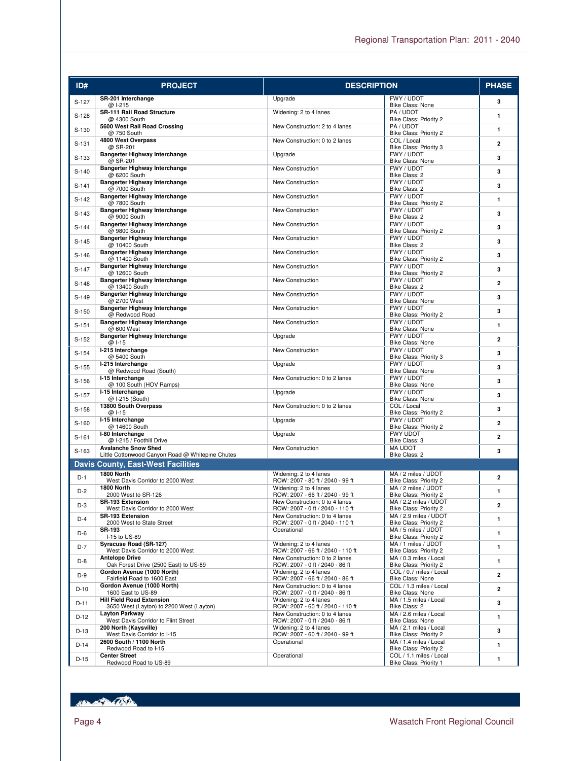| ID#     | <b>PROJECT</b>                                                                 | <b>DESCRIPTION</b>                                                 |                                                   | <b>PHASE</b>   |
|---------|--------------------------------------------------------------------------------|--------------------------------------------------------------------|---------------------------------------------------|----------------|
| S-127   | SR-201 Interchange                                                             | Upgrade                                                            | FWY / UDOT                                        | 3              |
| $S-128$ | @ I-215<br>SR-111 Rail Road Structure                                          | Widening: 2 to 4 lanes                                             | Bike Class: None<br>PA/UDOT                       | $\mathbf{1}$   |
|         | @ 4300 South<br>5600 West Rail Road Crossing                                   | New Construction: 2 to 4 lanes                                     | Bike Class: Priority 2<br>PA/UDOT                 |                |
| $S-130$ | @ 750 South<br>4800 West Overpass                                              | New Construction: 0 to 2 lanes                                     | Bike Class: Priority 2<br>COL / Local             | $\mathbf{1}$   |
| $S-131$ | @ SR-201                                                                       |                                                                    | Bike Class: Priority 3                            | $\overline{a}$ |
| $S-133$ | Bangerter Highway Interchange<br>@ SR-201                                      | Upgrade                                                            | FWY / UDOT<br>Bike Class: None                    | 3              |
| $S-140$ | Bangerter Highway Interchange<br>@ 6200 South                                  | New Construction                                                   | FWY / UDOT<br>Bike Class: 2                       | 3              |
| $S-141$ | Bangerter Highway Interchange<br>@ 7000 South                                  | New Construction                                                   | FWY / UDOT                                        | 3              |
| $S-142$ | Bangerter Highway Interchange                                                  | New Construction                                                   | Bike Class: 2<br>FWY / UDOT                       | $\mathbf{1}$   |
| $S-143$ | @7800 South<br>Bangerter Highway Interchange                                   | New Construction                                                   | Bike Class: Priority 2<br>FWY / UDOT              | 3              |
|         | @ 9000 South<br>Bangerter Highway Interchange                                  | New Construction                                                   | Bike Class: 2<br>FWY / UDOT                       |                |
| $S-144$ | @ 9800 South                                                                   |                                                                    | Bike Class: Priority 2                            | 3              |
| $S-145$ | Bangerter Highway Interchange<br>@ 10400 South                                 | New Construction                                                   | FWY / UDOT<br>Bike Class: 2                       | 3              |
| $S-146$ | Bangerter Highway Interchange<br>@ 11400 South                                 | New Construction                                                   | FWY / UDOT<br>Bike Class: Priority 2              | 3              |
| $S-147$ | Bangerter Highway Interchange<br>@ 12600 South                                 | New Construction                                                   | FWY / UDOT<br>Bike Class: Priority 2              | 3              |
| $S-148$ | Bangerter Highway Interchange                                                  | New Construction                                                   | FWY / UDOT                                        | $\overline{2}$ |
| $S-149$ | @ 13400 South<br><b>Bangerter Highway Interchange</b>                          | New Construction                                                   | Bike Class: 2<br>FWY / UDOT                       | 3              |
|         | @ 2700 West<br>Bangerter Highway Interchange                                   | New Construction                                                   | Bike Class: None<br>FWY / UDOT                    |                |
| $S-150$ | @ Redwood Road                                                                 |                                                                    | Bike Class: Priority 2                            | 3              |
| $S-151$ | <b>Bangerter Highway Interchange</b><br>@ 600 West                             | New Construction                                                   | FWY / UDOT<br>Bike Class: None                    | $\mathbf{1}$   |
| $S-152$ | Bangerter Highway Interchange<br>@ 1-15                                        | Upgrade                                                            | FWY / UDOT<br>Bike Class: None                    | $\overline{2}$ |
| $S-154$ | I-215 Interchange<br>@ 5400 South                                              | New Construction                                                   | FWY / UDOT<br>Bike Class: Priority 3              | 3              |
| $S-155$ | I-215 Interchange                                                              | Upgrade                                                            | FWY / UDOT                                        | 3              |
| $S-156$ | @ Redwood Road (South)<br>I-15 Interchange                                     | New Construction: 0 to 2 lanes                                     | Bike Class: None<br>FWY / UDOT                    | 3              |
|         | @ 100 South (HOV Ramps)<br>I-15 Interchange                                    | Upgrade                                                            | Bike Class: None<br>FWY / UDOT                    |                |
| $S-157$ | @ I-215 (South)<br>13800 South Overpass                                        | New Construction: 0 to 2 lanes                                     | Bike Class: None<br>COL / Local                   | 3              |
| $S-158$ | @ I-15                                                                         |                                                                    | Bike Class: Priority 2                            | 3              |
| $S-160$ | I-15 Interchange<br>@ 14600 South                                              | Upgrade                                                            | FWY / UDOT<br>Bike Class: Priority 2              | $\overline{2}$ |
| $S-161$ | I-80 Interchange<br>@ I-215 / Foothill Drive                                   | Upgrade                                                            | FWY UDOT<br>Bike Class: 3                         | $\overline{2}$ |
| S-163   | <b>Avalanche Snow Shed</b><br>Little Cottonwood Canyon Road @ Whitepine Chutes | New Construction                                                   | <b>MA UDOT</b><br>Bike Class: 2                   | 3              |
|         | <b>Davis County, East-West Facilities</b>                                      |                                                                    |                                                   |                |
| $D-1$   | 1800 North                                                                     | Widening: 2 to 4 lanes                                             | MA / 2 miles / UDOT                               | $\overline{2}$ |
| $D-2$   | West Davis Corridor to 2000 West<br>1800 North                                 | ROW: 2007 - 80 ft / 2040 - 99 ft<br>Widening: 2 to 4 lanes         | Bike Class: Priority 2<br>MA / 2 miles / UDOT     | 1              |
|         | 2000 West to SR-126<br><b>SR-193 Extension</b>                                 | ROW: 2007 - 66 ft / 2040 - 99 ft<br>New Construction: 0 to 4 lanes | Bike Class: Priority 2<br>MA / 2.2 miles / UDOT   |                |
| $D-3$   | West Davis Corridor to 2000 West                                               | ROW: 2007 - 0 ft / 2040 - 110 ft                                   | Bike Class: Priority 2                            | $\overline{a}$ |
| $D-4$   | <b>SR-193 Extension</b><br>2000 West to State Street                           | New Construction: 0 to 4 lanes<br>ROW: 2007 - 0 ft / 2040 - 110 ft | MA / 2.9 miles / UDOT<br>Bike Class: Priority 2   | 1              |
| D-6     | <b>SR-193</b><br>I-15 to US-89                                                 | Operational                                                        | MA / 5 miles / UDOT<br>Bike Class: Priority 2     | 1              |
| $D-7$   | Syracuse Road (SR-127)<br>West Davis Corridor to 2000 West                     | Widening: 2 to 4 lanes<br>ROW: 2007 - 66 ft / 2040 - 110 ft        | MA / 1 miles / UDOT<br>Bike Class: Priority 2     | 1              |
| D-8     | <b>Antelope Drive</b>                                                          | New Construction: 0 to 2 lanes                                     | MA / 0.3 miles / Local                            | 1              |
| $D-9$   | Oak Forest Drive (2500 East) to US-89<br>Gordon Avenue (1000 North)            | ROW: 2007 - 0 ft / 2040 - 86 ft<br>Widening: 2 to 4 lanes          | Bike Class: Priority 2<br>COL / 0.7 miles / Local | $\overline{2}$ |
|         | Fairfield Road to 1600 East<br>Gordon Avenue (1000 North)                      | ROW: 2007 - 66 ft / 2040 - 86 ft<br>New Construction: 0 to 4 lanes | Bike Class: None<br>COL / 1.3 miles / Local       |                |
| $D-10$  | 1600 East to US-89<br><b>Hill Field Road Extension</b>                         | ROW: 2007 - 0 ft / 2040 - 86 ft<br>Widening: 2 to 4 lanes          | Bike Class: None<br>MA / 1.5 miles / Local        | 2              |
| $D-11$  | 3650 West (Layton) to 2200 West (Layton)                                       | ROW: 2007 - 60 ft / 2040 - 110 ft                                  | Bike Class: 2                                     | 3              |
| $D-12$  | <b>Layton Parkway</b><br>West Davis Corridor to Flint Street                   | New Construction: 0 to 4 lanes<br>ROW: 2007 - 0 ft / 2040 - 86 ft  | MA / 2.6 miles / Local<br>Bike Class: None        | $\mathbf{1}$   |
| $D-13$  | 200 North (Kaysville)<br>West Davis Corridor to I-15                           | Widening: 2 to 4 lanes<br>ROW: 2007 - 60 ft / 2040 - 99 ft         | MA / 2.1 miles / Local<br>Bike Class: Priority 2  | 3              |
| $D-14$  | 2600 South / 1100 North<br>Redwood Road to I-15                                | Operational                                                        | MA / 1.4 miles / Local<br>Bike Class: Priority 2  | 1              |
| $D-15$  | <b>Center Street</b>                                                           | Operational                                                        | COL / 1.1 miles / Local                           | $\mathbf{1}$   |
|         | Redwood Road to US-89                                                          |                                                                    | Bike Class: Priority 1                            |                |

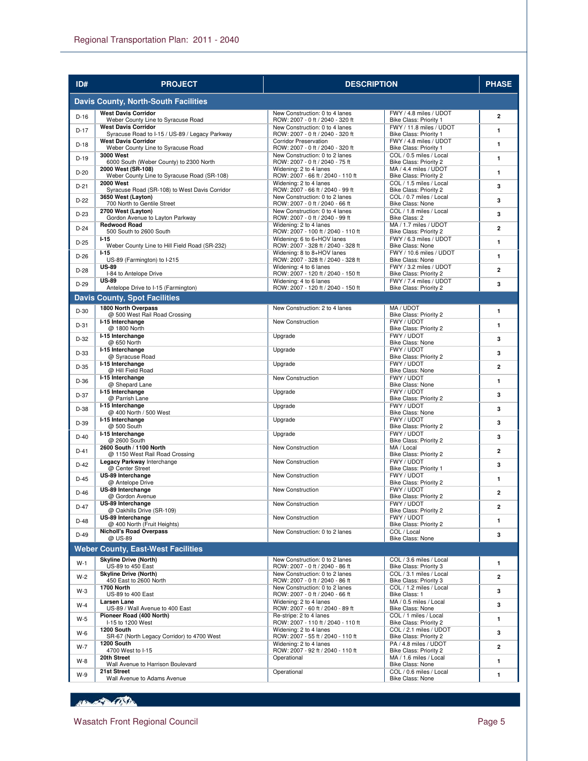| ID#    | <b>PROJECT</b>                                                               | <b>DESCRIPTION</b>                                                 |                                                   | <b>PHASE</b>   |
|--------|------------------------------------------------------------------------------|--------------------------------------------------------------------|---------------------------------------------------|----------------|
|        | <b>Davis County, North-South Facilities</b>                                  |                                                                    |                                                   |                |
| $D-16$ | <b>West Davis Corridor</b>                                                   | New Construction: 0 to 4 lanes                                     | FWY / 4.8 miles / UDOT                            | $\overline{2}$ |
| $D-17$ | Weber County Line to Syracuse Road<br><b>West Davis Corridor</b>             | ROW: 2007 - 0 ft / 2040 - 320 ft<br>New Construction: 0 to 4 lanes | Bike Class: Priority 1<br>FWY / 11.8 miles / UDOT | $\mathbf{1}$   |
|        | Syracuse Road to I-15 / US-89 / Legacy Parkway<br><b>West Davis Corridor</b> | ROW: 2007 - 0 ft / 2040 - 320 ft<br><b>Corridor Preservation</b>   | Bike Class: Priority 1<br>FWY / 4.8 miles / UDOT  |                |
| $D-18$ | Weber County Line to Syracuse Road<br><b>3000 West</b>                       | ROW: 2007 - 0 ft / 2040 - 320 ft                                   | Bike Class: Priority 1<br>COL / 0.5 miles / Local | 1              |
| $D-19$ | 6000 South (Weber County) to 2300 North                                      | New Construction: 0 to 2 lanes<br>ROW: 2007 - 0 ft / 2040 - 75 ft  | Bike Class: Priority 2                            | $\mathbf{1}$   |
| $D-20$ | 2000 West (SR-108)<br>Weber County Line to Syracuse Road (SR-108)            | Widening: 2 to 4 lanes<br>ROW: 2007 - 66 ft / 2040 - 110 ft        | MA / 4.4 miles / UDOT<br>Bike Class: Priority 2   | 1              |
| $D-21$ | <b>2000 West</b>                                                             | Widening: 2 to 4 lanes                                             | COL / 1.5 miles / Local                           | 3              |
| $D-22$ | Syracuse Road (SR-108) to West Davis Corridor<br>3650 West (Layton)          | ROW: 2007 - 66 ft / 2040 - 99 ft<br>New Construction: 0 to 2 lanes | Bike Class: Priority 2<br>COL / 0.7 miles / Local | 3              |
|        | 700 North to Gentile Street<br>2700 West (Layton)                            | ROW: 2007 - 0 ft / 2040 - 66 ft<br>New Construction: 0 to 4 lanes  | Bike Class: None<br>COL / 1.8 miles / Local       |                |
| $D-23$ | Gordon Avenue to Layton Parkway                                              | ROW: 2007 - 0 ft / 2040 - 99 ft                                    | Bike Class: 2                                     | 3              |
| $D-24$ | <b>Redwood Road</b><br>500 South to 2600 South                               | Widening: 2 to 4 lanes<br>ROW: 2007 - 100 ft / 2040 - 110 ft       | MA / 1.7 miles / UDOT<br>Bike Class: Priority 2   | $\overline{2}$ |
| $D-25$ | $1 - 15$<br>Weber County Line to Hill Field Road (SR-232)                    | Widening: 6 to 6+HOV lanes<br>ROW: 2007 - 328 ft / 2040 - 328 ft   | FWY / 6.3 miles / UDOT<br>Bike Class: None        | $\mathbf{1}$   |
| $D-26$ | $1 - 15$                                                                     | Widening: 8 to 8+HOV lanes                                         | FWY / 10.6 miles / UDOT                           | $\mathbf{1}$   |
| $D-28$ | US-89 (Farmington) to I-215<br><b>US-89</b>                                  | ROW: 2007 - 328 ft / 2040 - 328 ft<br>Widening: 4 to 6 lanes       | Bike Class: None<br>FWY / 3.2 miles / UDOT        | 2              |
|        | I-84 to Antelope Drive<br><b>US-89</b>                                       | ROW: 2007 - 120 ft / 2040 - 150 ft<br>Widening: 4 to 6 lanes       | Bike Class: Priority 2<br>FWY / 7.4 miles / UDOT  |                |
| $D-29$ | Antelope Drive to I-15 (Farmington)                                          | ROW: 2007 - 120 ft / 2040 - 150 ft                                 | Bike Class: Priority 2                            | 3              |
|        | <b>Davis County, Spot Facilities</b>                                         |                                                                    |                                                   |                |
| $D-30$ | 1800 North Overpass<br>@ 500 West Rail Road Crossing                         | New Construction: 2 to 4 lanes                                     | MA / UDOT<br>Bike Class: Priority 2               | $\mathbf{1}$   |
| $D-31$ | I-15 Interchange                                                             | New Construction                                                   | FWY / UDOT                                        | 1              |
|        | @ 1800 North<br>I-15 Interchange                                             | Upgrade                                                            | Bike Class: Priority 2<br>FWY / UDOT              | 3              |
| $D-32$ | @ 650 North<br>I-15 Interchange                                              | Upgrade                                                            | <b>Bike Class: None</b><br>FWY / UDOT             |                |
| $D-33$ | @ Syracuse Road                                                              |                                                                    | Bike Class: Priority 2                            | 3              |
| $D-35$ | I-15 Interchange<br>@ Hill Field Road                                        | Upgrade                                                            | FWY / UDOT<br>Bike Class: None                    | $\overline{a}$ |
| $D-36$ | I-15 Interchange<br>@ Shepard Lane                                           | New Construction                                                   | FWY / UDOT                                        | 1              |
| $D-37$ | I-15 Interchange                                                             | Upgrade                                                            | <b>Bike Class: None</b><br>FWY / UDOT             | 3              |
|        | @ Parrish Lane<br>I-15 Interchange                                           | Upgrade                                                            | Bike Class: Priority 2<br>FWY / UDOT              |                |
| $D-38$ | @ 400 North / 500 West                                                       |                                                                    | Bike Class: None                                  | 3              |
| D-39   | I-15 Interchange<br>@ 500 South                                              | Upgrade                                                            | FWY / UDOT<br>Bike Class: Priority 2              | 3              |
| $D-40$ | I-15 Interchange<br>@ 2600 South                                             | Upgrade                                                            | FWY / UDOT<br>Bike Class: Priority 2              | 3              |
| $D-41$ | 2600 South / 1100 North                                                      | New Construction                                                   | MA / Local                                        | 2              |
| $D-42$ | @ 1150 West Rail Road Crossing<br>Legacy Parkway Interchange                 | New Construction                                                   | Bike Class: Priority 2<br>FWY / UDOT              | 3              |
|        | @ Center Street<br>US-89 Interchange                                         | New Construction                                                   | Bike Class: Priority 1<br>FWY / UDOT              |                |
| $D-45$ | @ Antelope Drive                                                             |                                                                    | Bike Class: Priority 2                            | $\mathbf{1}$   |
| $D-46$ | US-89 Interchange<br>@ Gordon Avenue                                         | New Construction                                                   | FWY / UDOT<br>Bike Class: Priority 2              | $\overline{2}$ |
| D-47   | US-89 Interchange<br>@ Oakhills Drive (SR-109)                               | New Construction                                                   | FWY / UDOT<br>Bike Class: Priority 2              | 2              |
| $D-48$ | US-89 Interchange                                                            | New Construction                                                   | FWY / UDOT                                        | 1              |
|        | @ 400 North (Fruit Heights)<br><b>Nicholl's Road Overpass</b>                | New Construction: 0 to 2 lanes                                     | Bike Class: Priority 2<br>COL / Local             |                |
| $D-49$ | @ US-89                                                                      |                                                                    | Bike Class: None                                  | 3              |
|        | <b>Weber County, East-West Facilities</b>                                    |                                                                    |                                                   |                |
| $W-1$  | <b>Skyline Drive (North)</b><br>US-89 to 450 East                            | New Construction: 0 to 2 lanes<br>ROW: 2007 - 0 ft / 2040 - 86 ft  | COL / 3.6 miles / Local<br>Bike Class: Priority 3 | 1              |
| $W-2$  | <b>Skyline Drive (North)</b><br>450 East to 2600 North                       | New Construction: 0 to 2 lanes                                     | COL / 3.1 miles / Local                           | 2              |
| W-3    | 1700 North                                                                   | ROW: 2007 - 0 ft / 2040 - 86 ft<br>New Construction: 0 to 2 lanes  | Bike Class: Priority 3<br>COL / 1.2 miles / Local | 3              |
|        | US-89 to 400 East<br>Larsen Lane                                             | ROW: 2007 - 0 ft / 2040 - 66 ft<br>Widening: 2 to 4 lanes          | Bike Class: 1<br>MA / 0.5 miles / Local           |                |
| $W-4$  | US-89 / Wall Avenue to 400 East                                              | ROW: 2007 - 60 ft / 2040 - 89 ft                                   | Bike Class: None                                  | 3              |
| $W-5$  | Pioneer Road (400 North)<br>I-15 to 1200 West                                | Re-stripe: 2 to 4 lanes<br>ROW: 2007 - 110 ft / 2040 - 110 ft      | COL / 1 miles / Local<br>Bike Class: Priority 2   | 1              |
| $W-6$  | 1200 South<br>SR-67 (North Legacy Corridor) to 4700 West                     | Widening: 2 to 4 lanes<br>ROW: 2007 - 55 ft / 2040 - 110 ft        | COL / 2.1 miles / UDOT<br>Bike Class: Priority 2  | 3              |
| W-7    | 1200 South                                                                   | Widening: 2 to 4 lanes                                             | PA / 4.8 miles / UDOT                             | 2              |
|        | 4700 West to I-15<br>20th Street                                             | ROW: 2007 - 92 ft / 2040 - 110 ft<br>Operational                   | Bike Class: Priority 2<br>MA / 1.6 miles / Local  | 1              |
| W-8    | Wall Avenue to Harrison Boulevard<br>21st Street                             | Operational                                                        | Bike Class: None<br>COL / 0.6 miles / Local       |                |
| $W-9$  | Wall Avenue to Adams Avenue                                                  |                                                                    | Bike Class: None                                  | 1              |

Boundary Com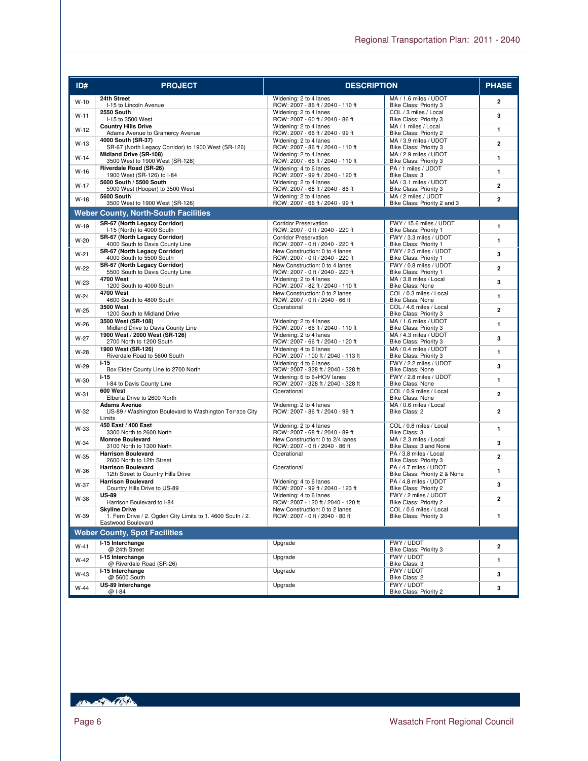| ID#    | <b>PROJECT</b>                                                                           | <b>DESCRIPTION</b>                                                  |                                                        | <b>PHASE</b>   |
|--------|------------------------------------------------------------------------------------------|---------------------------------------------------------------------|--------------------------------------------------------|----------------|
| $W-10$ | 24th Street<br>I-15 to Lincoln Avenue                                                    | Widening: 2 to 4 lanes<br>ROW: 2007 - 86 ft / 2040 - 110 ft         | MA / 1.6 miles / UDOT<br>Bike Class: Priority 3        | $\overline{2}$ |
| $W-11$ | 2550 South<br>I-15 to 3500 West                                                          | Widening: 2 to 4 lanes<br>ROW: 2007 - 60 ft / 2040 - 86 ft          | COL / 3 miles / Local<br>Bike Class: Priority 3        | 3              |
| $W-12$ | <b>Country Hills Drive</b><br>Adams Avenue to Gramercy Avenue                            | Widening: 2 to 4 lanes<br>ROW: 2007 - 66 ft / 2040 - 99 ft          | MA / 1 miles / Local<br>Bike Class: Priority 2         | $\mathbf{1}$   |
| $W-13$ | 4000 South (SR-37)<br>SR-67 (North Legacy Corridor) to 1900 West (SR-126)                | Widening: 2 to 4 lanes<br>ROW: 2007 - 86 ft / 2040 - 110 ft         | MA / 3.9 miles / UDOT<br>Bike Class: Priority 3        | $\overline{2}$ |
| $W-14$ | Midland Drive (SR-108)<br>3500 West to 1900 West (SR-126)                                | Widening: 2 to 4 lanes<br>ROW: 2007 - 66 ft / 2040 - 110 ft         | MA / 2.9 miles / UDOT<br>Bike Class: Priority 3        | $\mathbf{1}$   |
| $W-16$ | Riverdale Road (SR-26)<br>1900 West (SR-126) to I-84                                     | Widening: 4 to 6 lanes<br>ROW: 2007 - 99 ft / 2040 - 120 ft         | PA / 1 miles / UDOT<br>Bike Class: 3                   | 1              |
| $W-17$ | 5600 South / 5500 South<br>5900 West (Hooper) to 3500 West                               | Widening: 2 to 4 lanes<br>ROW: 2007 - 68 ft / 2040 - 86 ft          | MA / 3.1 miles / UDOT<br>Bike Class: Priority 3        | $\overline{2}$ |
| $W-18$ | 5600 South<br>3500 West to 1900 West (SR-126)                                            | Widening: 2 to 4 lanes<br>ROW: 2007 - 66 ft / 2040 - 99 ft          | MA / 2 miles / UDOT<br>Bike Class: Priority 2 and 3    | $\mathbf{2}$   |
|        | <b>Weber County, North-South Facilities</b>                                              |                                                                     |                                                        |                |
| $W-19$ | SR-67 (North Legacy Corridor)                                                            | <b>Corridor Preservation</b>                                        | FWY / 15.6 miles / UDOT                                | $\mathbf{1}$   |
|        | I-15 (North) to 4000 South<br>SR-67 (North Legacy Corridor)                              | ROW: 2007 - 0 ft / 2040 - 220 ft<br><b>Corridor Preservation</b>    | Bike Class: Priority 1<br>FWY / 3.3 miles / UDOT       |                |
| $W-20$ | 4000 South to Davis County Line                                                          | ROW: 2007 - 0 ft / 2040 - 220 ft                                    | Bike Class: Priority 1                                 | $\mathbf{1}$   |
| $W-21$ | SR-67 (North Legacy Corridor)<br>4000 South to 5500 South                                | New Construction: 0 to 4 lanes<br>ROW: 2007 - 0 ft / 2040 - 220 ft  | FWY / 2.5 miles / UDOT<br>Bike Class: Priority 1       | 3              |
| $W-22$ | SR-67 (North Legacy Corridor)<br>5500 South to Davis County Line                         | New Construction: 0 to 4 lanes<br>ROW: 2007 - 0 ft / 2040 - 220 ft  | FWY / 0.8 miles / UDOT<br>Bike Class: Priority 1       | $\overline{2}$ |
| W-23   | <b>4700 West</b><br>1200 South to 4000 South                                             | Widening: 2 to 4 lanes<br>ROW: 2007 - 82 ft / 2040 - 110 ft         | MA / 3.8 miles / Local<br>Bike Class: None             | 3              |
| $W-24$ | <b>4700 West</b><br>4600 South to 4800 South                                             | New Construction: 0 to 2 lanes<br>ROW: 2007 - 0 ft / 2040 - 66 ft   | COL / 0.3 miles / Local<br>Bike Class: None            | $\mathbf{1}$   |
| $W-25$ | 3500 West<br>1200 South to Midland Drive                                                 | Operational                                                         | COL / 4.6 miles / Local<br>Bike Class: Priority 3      | $\overline{2}$ |
| $W-26$ | 3500 West (SR-108)<br>Midland Drive to Davis County Line                                 | Widening: 2 to 4 lanes<br>ROW: 2007 - 66 ft / 2040 - 110 ft         | MA / 1.6 miles / UDOT<br>Bike Class: Priority 3        | $\mathbf{1}$   |
| W-27   | 1900 West / 2000 West (SR-126)<br>2700 North to 1200 South                               | Widening: 2 to 4 lanes<br>ROW: 2007 - 66 ft / 2040 - 120 ft         | MA / 4.3 miles / UDOT<br>Bike Class: Priority 3        | 3              |
| W-28   | 1900 West (SR-126)<br>Riverdale Road to 5600 South                                       | Widening: 4 to 6 lanes<br>ROW: 2007 - 100 ft / 2040 - 113 ft        | MA / 0.4 miles / UDOT<br>Bike Class: Priority 3        | $\mathbf{1}$   |
| W-29   | $I-15$<br>Box Elder County Line to 2700 North                                            | Widening: 4 to 6 lanes<br>ROW: 2007 - 328 ft / 2040 - 328 ft        | FWY / 2.2 miles / UDOT<br><b>Bike Class: None</b>      | 3              |
| W-30   | $1 - 15$<br>I-84 to Davis County Line                                                    | Widening: 6 to 6+HOV lanes<br>ROW: 2007 - 328 ft / 2040 - 328 ft    | FWY / 2.8 miles / UDOT<br>Bike Class: None             | $\mathbf{1}$   |
| $W-31$ | 600 West<br>Elberta Drive to 2600 North                                                  | Operational                                                         | COL / 0.9 miles / Local<br>Bike Class: None            | $\mathbf{2}$   |
| W-32   | <b>Adams Avenue</b><br>US-89 / Washington Boulevard to Washington Terrace City<br>Limits | Widening: 2 to 4 lanes<br>ROW: 2007 - 86 ft / 2040 - 99 ft          | MA / 0.6 miles / Local<br>Bike Class: 2                | $\mathbf{2}$   |
| W-33   | 450 East / 400 East<br>3300 North to 2600 North                                          | Widening: 2 to 4 lanes<br>ROW: 2007 - 68 ft / 2040 - 89 ft          | COL / 0.8 miles / Local<br>Bike Class: 3               | $\mathbf{1}$   |
| W-34   | <b>Monroe Boulevard</b><br>3100 North to 1300 North                                      | New Construction: 0 to 2/4 lanes<br>ROW: 2007 - 0 ft / 2040 - 86 ft | MA / 2.3 miles / Local<br>Bike Class: 3 and None       | 3              |
| W-35   | <b>Harrison Boulevard</b><br>2600 North to 12th Street                                   | Operational                                                         | PA / 3.8 miles / Local<br>Bike Class: Priority 3       | $\overline{2}$ |
| W-36   | <b>Harrison Boulevard</b><br>12th Street to Country Hills Drive                          | Operational                                                         | PA / 4.7 miles / UDOT<br>Bike Class: Priority 2 & None | 1              |
| W-37   | <b>Harrison Boulevard</b><br>Country Hills Drive to US-89                                | Widening: 4 to 6 lanes<br>ROW: 2007 - 99 ft / 2040 - 123 ft         | PA / 4.8 miles / UDOT<br>Bike Class: Priority 2        | 3              |
| W-38   | <b>US-89</b><br>Harrison Boulevard to I-84                                               | Widening: 4 to 6 lanes<br>ROW: 2007 - 120 ft / 2040 - 120 ft        | FWY / 2 miles / UDOT<br>Bike Class: Priority 2         | 2              |
| W-39   | <b>Skyline Drive</b><br>1. Fern Drive / 2. Ogden City Limits to 1. 4600 South / 2.       | New Construction: 0 to 2 lanes<br>ROW: 2007 - 0 ft / 2040 - 80 ft   | COL / 0.6 miles / Local<br>Bike Class: Priority 3      | 1              |
|        | Eastwood Boulevard                                                                       |                                                                     |                                                        |                |
|        | <b>Weber County, Spot Facilities</b>                                                     |                                                                     |                                                        |                |
| $W-41$ | I-15 Interchange<br>@ 24th Street                                                        | Upgrade                                                             | FWY / UDOT<br>Bike Class: Priority 3                   | $\overline{2}$ |
| W-42   | I-15 Interchange<br>@ Riverdale Road (SR-26)                                             | Upgrade                                                             | FWY / UDOT<br>Bike Class: 3                            | $\mathbf{1}$   |
| $W-43$ | I-15 Interchange<br>@ 5600 South                                                         | Upgrade                                                             | FWY / UDOT<br>Bike Class: 2                            | 3              |
| W-44   | US-89 Interchange<br>@ I-84                                                              | Upgrade                                                             | FWY / UDOT<br>Bike Class: Priority 2                   | 3              |